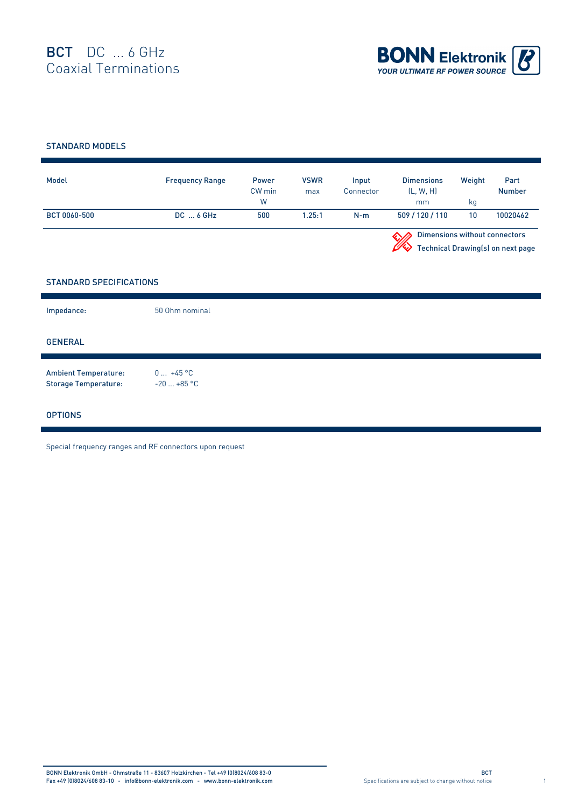

## STANDARD MODELS

| Model        | <b>Frequency Range</b> | Power<br>CW min<br>W | <b>VSWR</b><br>max | Input<br>Connector | <b>Dimensions</b><br>(L, W, H)<br>mm | Weight<br>ka                                                              | Part<br><b>Number</b> |  |
|--------------|------------------------|----------------------|--------------------|--------------------|--------------------------------------|---------------------------------------------------------------------------|-----------------------|--|
| BCT 0060-500 | $DC \dots 6$ GHz       | 500                  | 1.25:1             | $N-m$              | 509 / 120 / 110                      | 10                                                                        | 10020462              |  |
|              |                        |                      |                    |                    |                                      | <b>Dimensions without connectors</b><br>Technical Drawing(s) on next page |                       |  |

## STANDARD SPECIFICATIONS

| Impedance:                                                 | 50 Ohm nominal            |
|------------------------------------------------------------|---------------------------|
| <b>GENERAL</b>                                             |                           |
| <b>Ambient Temperature:</b><br><b>Storage Temperature:</b> | $0 +45 °C$<br>$-20+85$ °C |
| <b>OPTIONS</b>                                             |                           |

Special frequency ranges and RF connectors upon request